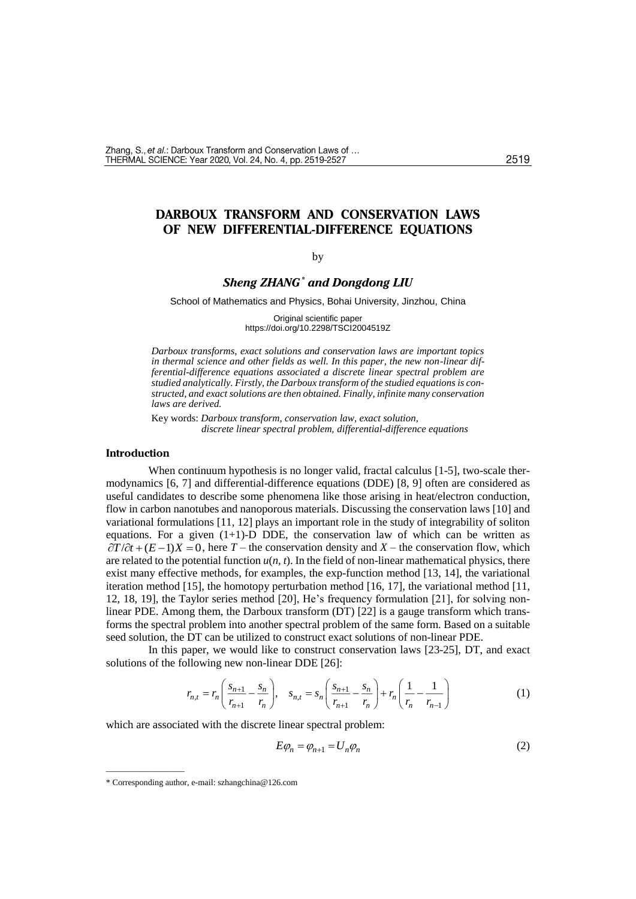# **DARBOUX TRANSFORM AND CONSERVATION LAWS OF NEW DIFFERENTIAL-DIFFERENCE EQUATIONS**

#### by

# *Sheng ZHANG\* and Dongdong LIU*

School of Mathematics and Physics, Bohai University, Jinzhou, China

Original scientific paper https://doi.org/10.2298/TSCI2004519Z

*Darboux transforms, exact solutions and conservation laws are important topics in thermal science and other fields as well. In this paper, the new non-linear differential-difference equations associated a discrete linear spectral problem are studied analytically. Firstly, the Darboux transform of the studied equations is constructed, and exact solutions are then obtained. Finally, infinite many conservation laws are derived.*

Key words: *Darboux transform, conservation law, exact solution, discrete linear spectral problem, differential-difference equations*

#### **Introduction**

When continuum hypothesis is no longer valid, fractal calculus [1-5], two-scale thermodynamics [6, 7] and differential-difference equations (DDE) [8, 9] often are considered as useful candidates to describe some phenomena like those arising in heat/electron conduction, flow in carbon nanotubes and nanoporous materials. Discussing the conservation laws [10] and variational formulations [11, 12] plays an important role in the study of integrability of soliton equations. For a given  $(1+1)$ -D DDE, the conservation law of which can be written as  $\partial T/\partial t + (E-1)X = 0$ , here *T* – the conservation density and *X* – the conservation flow, which are related to the potential function *u*(*n, t*). In the field of non-linear mathematical physics, there exist many effective methods, for examples, the exp-function method [13, 14], the variational iteration method [15], the homotopy perturbation method [16, 17], the variational method [11, 12, 18, 19], the Taylor series method [20], He's frequency formulation [21], for solving nonlinear PDE. Among them, the Darboux transform (DT) [22] is a gauge transform which transforms the spectral problem into another spectral problem of the same form. Based on a suitable seed solution, the DT can be utilized to construct exact solutions of non-linear PDE.

In this paper, we would like to construct conservation laws [23-25], DT, and exact solutions of the following new non-linear DDE [26]:

$$
r_{n,t} = r_n \left( \frac{s_{n+1}}{r_{n+1}} - \frac{s_n}{r_n} \right), \quad s_{n,t} = s_n \left( \frac{s_{n+1}}{r_{n+1}} - \frac{s_n}{r_n} \right) + r_n \left( \frac{1}{r_n} - \frac{1}{r_{n-1}} \right)
$$
(1)

which are associated with the discrete linear spectral problem:

$$
E\varphi_n = \varphi_{n+1} = U_n \varphi_n \tag{2}
$$

––––––––––––––

<sup>\*</sup> Corresponding author, e-mail: szhangchina@126.com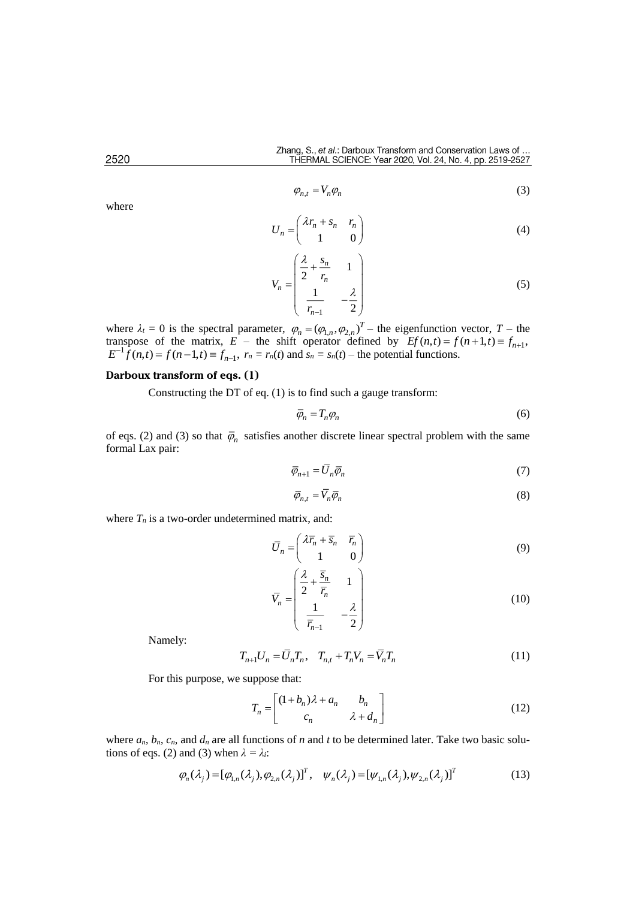$$
\varphi_{n,t} = V_n \varphi_n \tag{3}
$$

$$
U_n = \begin{pmatrix} \lambda r_n + s_n & r_n \\ 1 & 0 \end{pmatrix} \tag{4}
$$

$$
V_n = \begin{pmatrix} \frac{\lambda}{2} + \frac{s_n}{r_n} & 1\\ \frac{1}{r_{n-1}} & -\frac{\lambda}{2} \end{pmatrix}
$$
 (5)

where  $\lambda_t = 0$  is the spectral parameter,  $\varphi_n = (\varphi_{1,n}, \varphi_{2,n})^T$  – the eigenfunction vector,  $T$  – the transpose of the matrix,  $E$  – the shift operator defined by  $Ef(n,t) = f(n+1,t) \equiv f_{n+1}$ ,<br> $E^{-1}f(n,t) = f(n-1,t) \equiv f_{n-1}$ ,  $r_n = r_n(t)$  and  $s_n = s_n(t)$  – the potential functions.

# **Darboux transform of eqs. (1)**

Constructing the DT of eq. (1) is to find such a gauge transform:

$$
\overline{\varphi}_n = T_n \varphi_n \tag{6}
$$

of eqs. (2) and (3) so that  $\bar{\varphi}_n$  satisfies another discrete linear spectral problem with the same formal Lax pair:

$$
\overline{\varphi}_{n+1} = \overline{U}_n \overline{\varphi}_n \tag{7}
$$

$$
\overline{\varphi}_{n,t} = \overline{V}_n \overline{\varphi}_n \tag{8}
$$

where  $T<sub>n</sub>$  is a two-order undetermined matrix, and:

$$
\overline{U}_n = \begin{pmatrix} \lambda \overline{r}_n + \overline{s}_n & \overline{r}_n \\ 1 & 0 \end{pmatrix} \tag{9}
$$

$$
\overline{V}_n = \begin{pmatrix} \frac{\lambda}{2} + \frac{\overline{s}_n}{\overline{r}_n} & 1\\ \frac{1}{\overline{r}_{n-1}} & -\frac{\lambda}{2} \end{pmatrix}
$$
\n(10)

Namely:

$$
T_{n+1}U_n = \bar{U}_n T_n, \quad T_{n,t} + T_n V_n = \bar{V}_n T_n \tag{11}
$$

For this purpose, we suppose that:

$$
T_n = \begin{bmatrix} (1+b_n)\lambda + a_n & b_n \\ c_n & \lambda + d_n \end{bmatrix}
$$
 (12)

where  $a_n$ ,  $b_n$ ,  $c_n$ , and  $d_n$  are all functions of *n* and *t* to be determined later. Take two basic solutions of eqs. (2) and (3) when  $\lambda = \lambda_i$ :

$$
\varphi_n(\lambda_j) = [\varphi_{1,n}(\lambda_j), \varphi_{2,n}(\lambda_j)]^T, \quad \psi_n(\lambda_j) = [\psi_{1,n}(\lambda_j), \psi_{2,n}(\lambda_j)]^T
$$
\n(13)

2520

where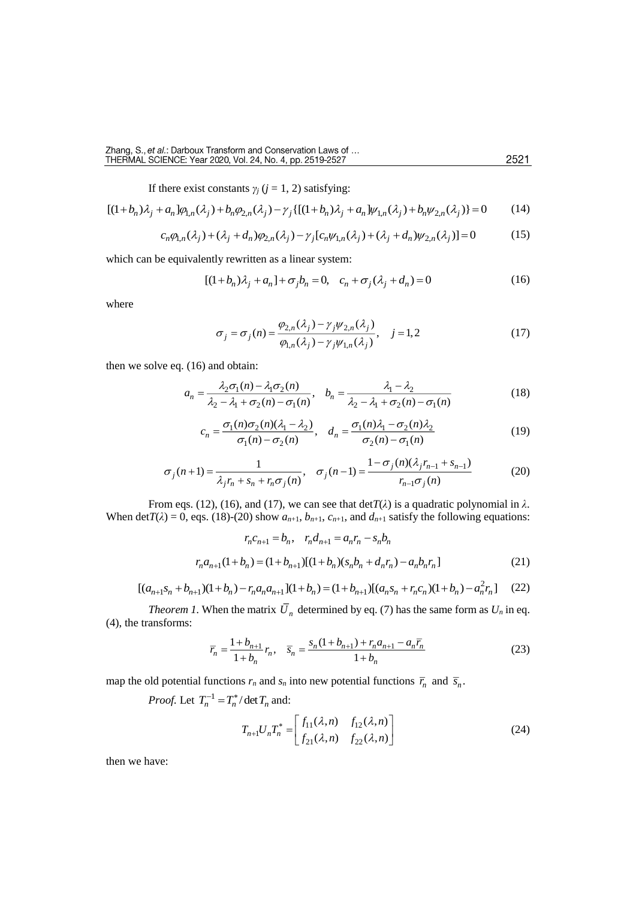If there exist constants  $\gamma_j$  ( $j = 1, 2$ ) satisfying:

$$
[(1+b_n)\lambda_j + a_n]\varphi_{1,n}(\lambda_j) + b_n\varphi_{2,n}(\lambda_j) - \gamma_j\{[(1+b_n)\lambda_j + a_n]\psi_{1,n}(\lambda_j) + b_n\psi_{2,n}(\lambda_j)\} = 0 \tag{14}
$$

$$
c_n \varphi_{1,n}(\lambda_j) + (\lambda_j + d_n) \varphi_{2,n}(\lambda_j) - \gamma_j [c_n \psi_{1,n}(\lambda_j) + (\lambda_j + d_n) \psi_{2,n}(\lambda_j)] = 0 \tag{15}
$$

which can be equivalently rewritten as a linear system:

$$
[(1+b_n)\lambda_j + a_n] + \sigma_j b_n = 0, \quad c_n + \sigma_j(\lambda_j + d_n) = 0
$$
\n(16)

where

$$
\sigma_j = \sigma_j(n) = \frac{\varphi_{2,n}(\lambda_j) - \gamma_j \psi_{2,n}(\lambda_j)}{\varphi_{1,n}(\lambda_j) - \gamma_j \psi_{1,n}(\lambda_j)}, \quad j = 1, 2
$$
\n(17)

then we solve eq. (16) and obtain:

$$
a_n = \frac{\lambda_2 \sigma_1(n) - \lambda_1 \sigma_2(n)}{\lambda_2 - \lambda_1 + \sigma_2(n) - \sigma_1(n)}, \quad b_n = \frac{\lambda_1 - \lambda_2}{\lambda_2 - \lambda_1 + \sigma_2(n) - \sigma_1(n)}\tag{18}
$$

$$
c_n = \frac{\sigma_1(n)\sigma_2(n)(\lambda_1 - \lambda_2)}{\sigma_1(n) - \sigma_2(n)}, \quad d_n = \frac{\sigma_1(n)\lambda_1 - \sigma_2(n)\lambda_2}{\sigma_2(n) - \sigma_1(n)}\tag{19}
$$

$$
\sigma_j(n+1) = \frac{1}{\lambda_j r_n + s_n + r_n \sigma_j(n)}, \quad \sigma_j(n-1) = \frac{1 - \sigma_j(n)(\lambda_j r_{n-1} + s_{n-1})}{r_{n-1} \sigma_j(n)} \tag{20}
$$

From eqs. (12), (16), and (17), we can see that  $\det T(\lambda)$  is a quadratic polynomial in  $\lambda$ . When det $T(\lambda) = 0$ , eqs. (18)-(20) show  $a_{n+1}$ ,  $b_{n+1}$ ,  $c_{n+1}$ , and  $d_{n+1}$  satisfy the following equations:

$$
r_n c_{n+1} = b_n, \quad r_n d_{n+1} = a_n r_n - s_n b_n
$$

$$
r_n a_{n+1} (1 + b_n) = (1 + b_{n+1})[(1 + b_n)(s_n b_n + d_n r_n) - a_n b_n r_n]
$$
(21)

$$
[(a_{n+1}s_n + b_{n+1})(1+b_n) - r_n a_n a_{n+1}](1+b_n) = (1+b_{n+1})[(a_n s_n + r_n c_n)(1+b_n) - a_n^2 r_n]
$$
 (22)

*Theorem 1*. When the matrix  $U_n$  determined by eq. (7) has the same form as  $U_n$  in eq. (4), the transforms:

$$
\overline{r}_n = \frac{1 + b_{n+1}}{1 + b_n} r_n, \quad \overline{s}_n = \frac{s_n (1 + b_{n+1}) + r_n a_{n+1} - a_n \overline{r}_n}{1 + b_n}
$$
(23)

map the old potential functions  $r_n$  and  $s_n$  into new potential functions  $\overline{r}_n$  and  $\overline{s}_n$ .

*Proof.* Let  $T_n^{-1} = T_n^* / \det T_n$  and:

$$
T_{n+1}U_nT_n^* = \begin{bmatrix} f_{11}(\lambda, n) & f_{12}(\lambda, n) \\ f_{21}(\lambda, n) & f_{22}(\lambda, n) \end{bmatrix}
$$
 (24)

then we have: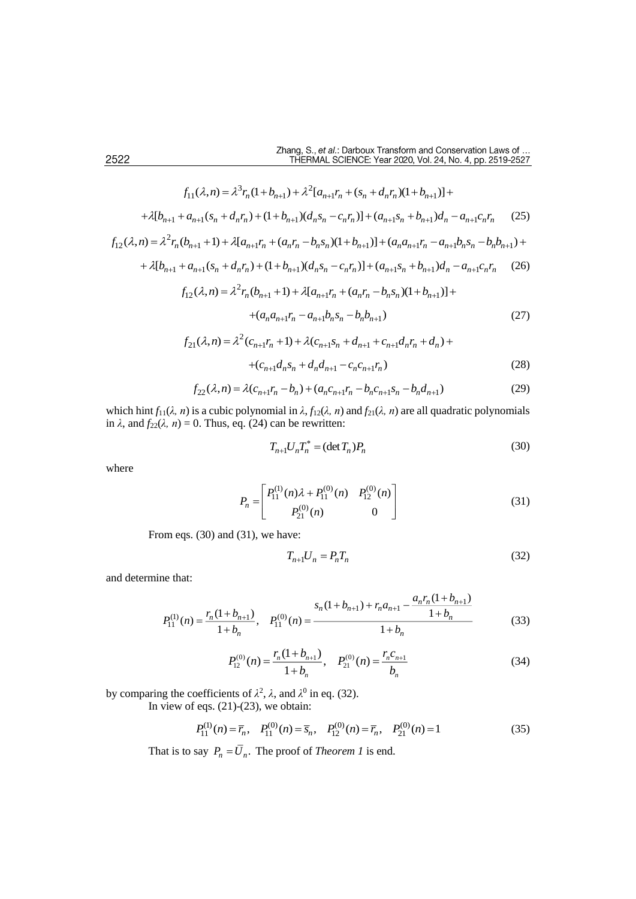$$
f_{11}(\lambda, n) = \lambda^3 r_n (1 + b_{n+1}) + \lambda^2 [a_{n+1}r_n + (s_n + d_n r_n)(1 + b_{n+1})] +
$$
  
+ 
$$
\lambda [b_{n+1} + a_{n+1}(s_n + d_n r_n) + (1 + b_{n+1})(d_n s_n - c_n r_n)] + (a_{n+1} s_n + b_{n+1})d_n - a_{n+1}c_n r_n
$$
 (25)

$$
f_{12}(\lambda, n) = \lambda^2 r_n (b_{n+1} + 1) + \lambda [a_{n+1}r_n + (a_n r_n - b_n s_n)(1 + b_{n+1})] + (a_n a_{n+1}r_n - a_{n+1}b_n s_n - b_n b_{n+1}) +
$$
  
+  $\lambda [b_{n+1} + a_{n+1}(s_n + d_n r_n) + (1 + b_{n+1})(d_n s_n - c_n r_n)] + (a_{n+1} s_n + b_{n+1})d_n - a_{n+1}c_n r_n$  (26)

$$
+ \lambda [b_{n+1} + a_{n+1}(s_n + d_n r_n) + (1 + b_{n+1})(d_n s_n - c_n r_n)] + (a_{n+1} s_n + b_{n+1})d_n - a_{n+1} c_n r_n \tag{26}
$$
  

$$
f_{12}(\lambda, n) = \lambda^2 r_n (b_{n+1} + 1) + \lambda [a_{n+1} r_n + (a_n r_n - b_n s_n)(1 + b_{n+1})] +
$$

$$
+(a_n a_{n+1} r_n - a_{n+1} b_n s_n - b_n b_{n+1})
$$
\n<sup>(27)</sup>

$$
f_{21}(\lambda, n) = \lambda^2 (c_{n+1}r_n + 1) + \lambda (c_{n+1}s_n + d_{n+1} + c_{n+1}d_n r_n + d_n) +
$$
  
+ 
$$
(c_{n+1}d_n s_n + d_n d_{n+1} - c_n c_{n+1} r_n)
$$
 (28)

$$
f_{22}(\lambda, n) = \lambda (c_{n+1}r_n - b_n) + (a_n c_{n+1}r_n - b_n c_{n+1} s_n - b_n d_{n+1})
$$
\n(29)

which hint  $f_{11}(\lambda, n)$  is a cubic polynomial in  $\lambda$ ,  $f_{12}(\lambda, n)$  and  $f_{21}(\lambda, n)$  are all quadratic polynomials in  $\lambda$ , and  $f_{22}(\lambda, n) = 0$ . Thus, eq. (24) can be rewritten:

$$
T_{n+1}U_nT_n^* = (\det T_n)P_n
$$
\n(30)

where

$$
P_n = \begin{bmatrix} P_{11}^{(1)}(n)\lambda + P_{11}^{(0)}(n) & P_{12}^{(0)}(n) \\ P_{21}^{(0)}(n) & 0 \end{bmatrix}
$$
 (31)

From eqs. (30) and (31), we have:

$$
T_{n+1}U_n = P_n T_n \tag{32}
$$

and determine that:

ne that:  
\n
$$
P_{11}^{(1)}(n) = \frac{r_n(1+b_{n+1})}{1+b_n}, \quad P_{11}^{(0)}(n) = \frac{s_n(1+b_{n+1}) + r_n a_{n+1} - \frac{a_n r_n (1+b_{n+1})}{1+b_n}}{1+b_n}
$$
\n(33)

$$
P_{12}^{(0)}(n) = \frac{r_n(1+b_{n+1})}{1+b_n}, \quad P_{21}^{(0)}(n) = \frac{r_n c_{n+1}}{b_n}
$$
(34)

by comparing the coefficients of  $\lambda^2$ ,  $\lambda$ , and  $\lambda^0$  in eq. (32).

In view of eqs.  $(21)-(23)$ , we obtain:

$$
P_{11}^{(1)}(n) = \overline{r}_n, \quad P_{11}^{(0)}(n) = \overline{s}_n, \quad P_{12}^{(0)}(n) = \overline{r}_n, \quad P_{21}^{(0)}(n) = 1 \tag{35}
$$

That is to say  $P_n = U_n$ . The proof of *Theorem 1* is end.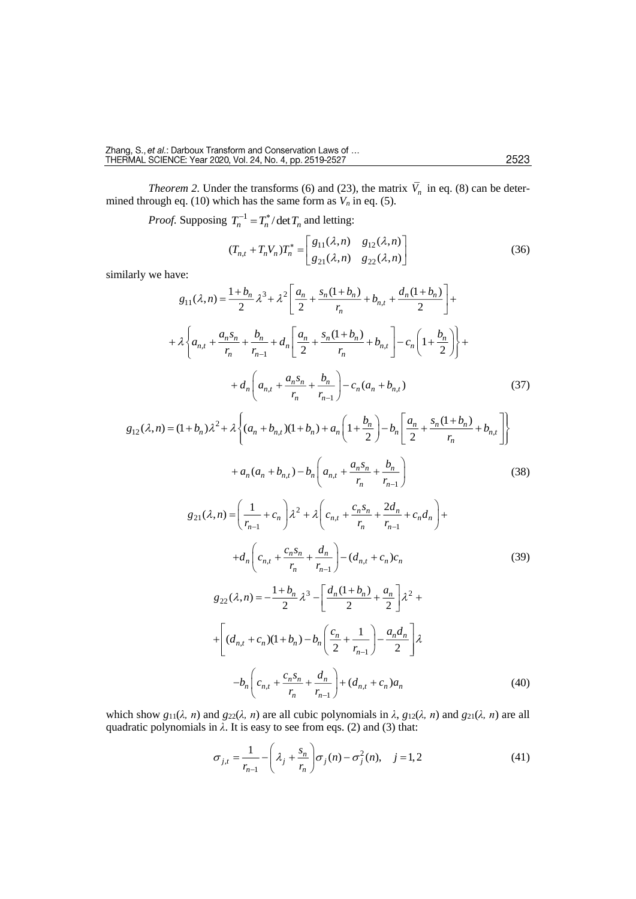*Theorem 2.* Under the transforms (6) and (23), the matrix  $V_n$  in eq. (8) can be determined through eq. (10) which has the same form as  $V_n$  in eq. (5).

*Proof.* Supposing  $T_n^{-1} = T_n^* / \det T_n$  and letting:

 $11^{(1, n)}$   $812$  $\begin{array}{c|cc} & x & x & x \\ & & g_{21}(\lambda,n) & g_{22} \end{array}$  $(T_{n,t} + T_n V_n) T_n^* = \begin{vmatrix} g_{11}(\lambda, n) & g_{12}(\lambda, n) \\ g_{21}(\lambda, n) & g_{22}(\lambda, n) \end{vmatrix}$  $T_{n+1} + T_n V_n T_n^* = \begin{bmatrix} g_{11}(\lambda, n) & g_{12}(\lambda, n) \end{bmatrix}$  $g_{21}(\lambda, n)$   $g_{22}(\lambda, n)$  $\lambda$ , n)  $g_{12}(\lambda)$  $\lambda$ , n)  $g_{22}(\lambda)$ \*  $\begin{bmatrix} g_{11}(\lambda,n) & g_{12}(\lambda,n) \end{bmatrix}$ + $T_n V_n T_n^* = \begin{bmatrix} 611 & 612 & 612 \\ g_{21}(\lambda, n) & g_{22}(\lambda, n) \end{bmatrix}$ (36)

similarly we have:

$$
g_{11}(\lambda, n) = \frac{1 + b_n}{2} \lambda^3 + \lambda^2 \left[ \frac{a_n}{2} + \frac{s_n (1 + b_n)}{r_n} + b_{n,t} + \frac{d_n (1 + b_n)}{2} \right] +
$$
  
+  $\lambda \left\{ a_{n,t} + \frac{a_n s_n}{r_n} + \frac{b_n}{r_{n-1}} + d_n \left[ \frac{a_n}{2} + \frac{s_n (1 + b_n)}{r_n} + b_{n,t} \right] - c_n \left( 1 + \frac{b_n}{2} \right) \right\} +$   
+  $d_n \left( a_{n,t} + \frac{a_n s_n}{r_n} + \frac{b_n}{r_{n-1}} \right) - c_n (a_n + b_{n,t})$  (37)  

$$
= (1 + b_n) \lambda^2 + \lambda \left\{ (a_n + b_{n,t}) (1 + b_n) + a_n \left( 1 + \frac{b_n}{2} \right) - b_n \left[ \frac{a_n}{2} + \frac{s_n (1 + b_n)}{2} + b_{n,t} \right] \right\}
$$

$$
+ d_n \left( a_{n,t} + \frac{a_n s_n}{r_n} + \frac{b_n}{r_{n-1}} \right) - c_n (a_n + b_{n,t})
$$
(37)  

$$
g_{12}(\lambda, n) = (1 + b_n) \lambda^2 + \lambda \left\{ (a_n + b_{n,t})(1 + b_n) + a_n \left( 1 + \frac{b_n}{2} \right) - b_n \left[ \frac{a_n}{2} + \frac{s_n (1 + b_n)}{r_n} + b_{n,t} \right] \right\}
$$

$$
+ a_n (a_n + b_{n,t}) - b_n \left( a_{n,t} + \frac{a_n s_n}{r_n} + \frac{b_n}{r_{n-1}} \right)
$$
 (38)

$$
g_{21}(\lambda, n) = \left(\frac{1}{r_{n-1}} + c_n\right) \lambda^2 + \lambda \left(c_{n,t} + \frac{c_n s_n}{r_n} + \frac{2d_n}{r_{n-1}} + c_n d_n\right) +
$$
  
+  $d_n \left(c_{n,t} + \frac{c_n s_n}{r_n} + \frac{d_n}{r_{n-1}}\right) - (d_{n,t} + c_n) c_n$  (39)  

$$
g_{22}(\lambda, n) = -\frac{1+b_n}{2} \lambda^3 - \left[\frac{d_n (1+b_n)}{2} + \frac{a_n}{2}\right] \lambda^2 +
$$
  
+ 
$$
\left[(d_{n,t} + c_n)(1+b_n) - b_n \left(\frac{c_n}{2} + \frac{1}{r_{n-1}}\right) - \frac{a_n d_n}{2}\right] \lambda
$$
  
-  $b_n \left(c_{n,t} + \frac{c_n s_n}{r_n} + \frac{d_n}{r_{n-1}}\right) + (d_{n,t} + c_n) a_n$  (40)

which show  $g_{11}(\lambda, n)$  and  $g_{22}(\lambda, n)$  are all cubic polynomials in  $\lambda$ ,  $g_{12}(\lambda, n)$  and  $g_{21}(\lambda, n)$  are all quadratic polynomials in *λ*. It is easy to see from eqs. (2) and (3) that:

$$
\sigma_{j,t} = \frac{1}{r_{n-1}} - \left(\lambda_j + \frac{s_n}{r_n}\right) \sigma_j(n) - \sigma_j^2(n), \quad j = 1, 2
$$
\n(41)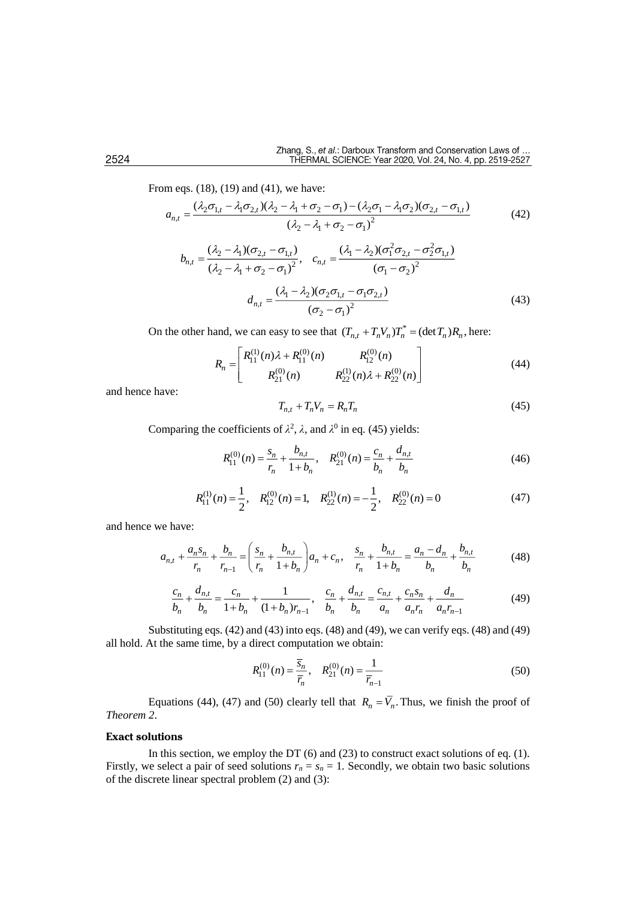From eqs. (18), (19) and (41), we have:

$$
a_{n,t} = \frac{(\lambda_2 \sigma_{1,t} - \lambda_1 \sigma_{2,t})(\lambda_2 - \lambda_1 + \sigma_2 - \sigma_1) - (\lambda_2 \sigma_1 - \lambda_1 \sigma_2)(\sigma_{2,t} - \sigma_{1,t})}{(\lambda_2 - \lambda_1 + \sigma_2 - \sigma_1)^2}
$$
(42)  

$$
b_{\perp} = \frac{(\lambda_2 - \lambda_1)(\sigma_{2,t} - \sigma_{1,t})}{(\lambda_2 - \lambda_1 + \sigma_2 - \sigma_1)^2}
$$

$$
b_{n,t} = \frac{(\lambda_2 - \lambda_1)(\sigma_{2,t} - \sigma_{1,t})}{(\lambda_2 - \lambda_1 + \sigma_2 - \sigma_1)^2}, \quad c_{n,t} = \frac{(\lambda_1 - \lambda_2)(\sigma_1^2 \sigma_{2,t} - \sigma_2^2 \sigma_{1,t})}{(\sigma_1 - \sigma_2)^2}
$$

$$
d_{n,t} = \frac{(\lambda_1 - \lambda_2)(\sigma_2 \sigma_{1,t} - \sigma_1 \sigma_{2,t})}{(\sigma_2 - \sigma_1)^2}
$$
(43)

On the other hand, we can easy to see that  $(T_{n,t} + T_n V_n)T_n^* = (\det T_n)R_n$ , here:

$$
R_n = \begin{bmatrix} R_{11}^{(1)}(n)\lambda + R_{11}^{(0)}(n) & R_{12}^{(0)}(n) \\ R_{21}^{(0)}(n) & R_{22}^{(1)}(n)\lambda + R_{22}^{(0)}(n) \end{bmatrix}
$$
(44)

and hence have:

$$
T_{n,t} + T_n V_n = R_n T_n \tag{45}
$$

Comparing the coefficients of  $\lambda^2$ ,  $\lambda$ , and  $\lambda^0$  in eq. (45) yields:

$$
R_{11}^{(0)}(n) = \frac{s_n}{r_n} + \frac{b_{n,t}}{1 + b_n}, \quad R_{21}^{(0)}(n) = \frac{c_n}{b_n} + \frac{d_{n,t}}{b_n}
$$
(46)

$$
R_{11}^{(1)}(n) = \frac{1}{2}, \quad R_{12}^{(0)}(n) = 1, \quad R_{22}^{(1)}(n) = -\frac{1}{2}, \quad R_{22}^{(0)}(n) = 0 \tag{47}
$$

and hence we have:

$$
a_{n,t} + \frac{a_n s_n}{r_n} + \frac{b_n}{r_{n-1}} = \left(\frac{s_n}{r_n} + \frac{b_{n,t}}{1 + b_n}\right) a_n + c_n, \quad \frac{s_n}{r_n} + \frac{b_{n,t}}{1 + b_n} = \frac{a_n - d_n}{b_n} + \frac{b_{n,t}}{b_n} \tag{48}
$$

$$
\frac{c_n}{b_n} + \frac{d_{n,t}}{b_n} = \frac{c_n}{1+b_n} + \frac{1}{(1+b_n)r_{n-1}}, \quad \frac{c_n}{b_n} + \frac{d_{n,t}}{b_n} = \frac{c_{n,t}}{a_n} + \frac{c_n s_n}{a_n r_n} + \frac{d_n}{a_n r_{n-1}}
$$
(49)

Substituting eqs. (42) and (43) into eqs. (48) and (49), we can verify eqs. (48) and (49) all hold. At the same time, by a direct computation we obtain:

$$
R_{11}^{(0)}(n) = \frac{\overline{s}_n}{\overline{r}_n}, \quad R_{21}^{(0)}(n) = \frac{1}{\overline{r}_{n-1}}
$$
(50)

Equations (44), (47) and (50) clearly tell that  $R_n = V_n$ . Thus, we finish the proof of *Theorem 2*.

### **Exact solutions**

In this section, we employ the DT  $(6)$  and  $(23)$  to construct exact solutions of eq. (1). Firstly, we select a pair of seed solutions  $r_n = s_n = 1$ . Secondly, we obtain two basic solutions of the discrete linear spectral problem (2) and (3):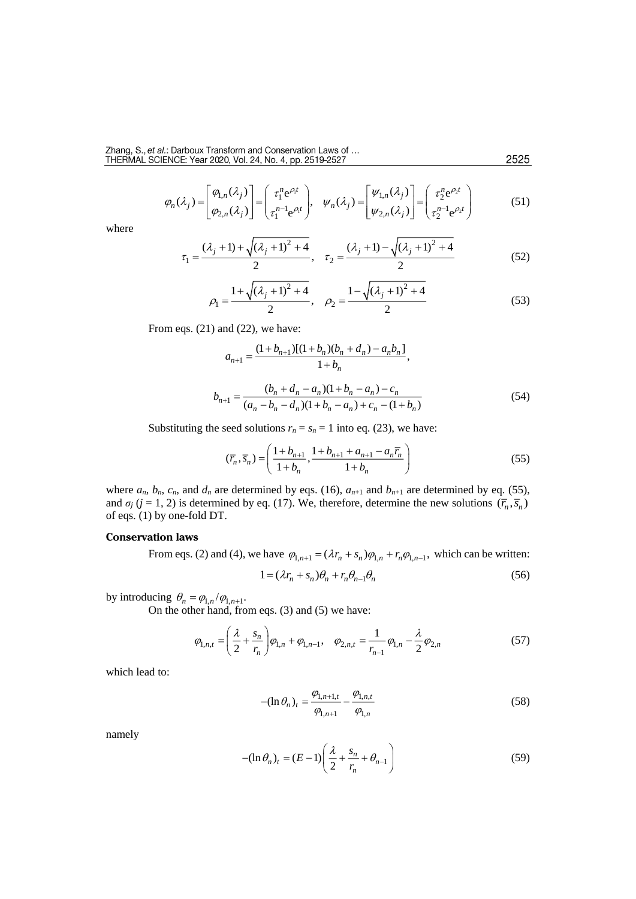$$
\varphi_n(\lambda_j) = \begin{bmatrix} \varphi_{1,n}(\lambda_j) \\ \varphi_{2,n}(\lambda_j) \end{bmatrix} = \begin{pmatrix} \tau_1^n e^{\rho_1 t} \\ \tau_1^{n-1} e^{\rho_1 t} \end{pmatrix}, \quad \psi_n(\lambda_j) = \begin{bmatrix} \psi_{1,n}(\lambda_j) \\ \psi_{2,n}(\lambda_j) \end{bmatrix} = \begin{pmatrix} \tau_2^n e^{\rho_2 t} \\ \tau_2^{n-1} e^{\rho_2 t} \end{pmatrix}
$$
(51)

where

$$
\tau_1 = \frac{(\lambda_j + 1) + \sqrt{(\lambda_j + 1)^2 + 4}}{2}, \quad \tau_2 = \frac{(\lambda_j + 1) - \sqrt{(\lambda_j + 1)^2 + 4}}{2} \tag{52}
$$

$$
\rho_1 = \frac{1 + \sqrt{(\lambda_j + 1)^2 + 4}}{2}, \quad \rho_2 = \frac{1 - \sqrt{(\lambda_j + 1)^2 + 4}}{2} \tag{53}
$$

From eqs. (21) and (22), we have:

$$
a_{n+1} = \frac{(1+b_{n+1})[(1+b_n)(b_n+d_n)-a_nb_n]}{1+b_n},
$$
  

$$
b_{n+1} = \frac{(b_n+d_n-a_n)(1+b_n-a_n)-c_n}{(a_n-b_n-d_n)(1+b_n-a_n)+c_n-(1+b_n)}
$$
 (54)

Substituting the seed solutions  $r_n = s_n = 1$  into eq. (23), we have:

$$
(\overline{r}_n, \overline{s}_n) = \left(\frac{1+b_{n+1}}{1+b_n}, \frac{1+b_{n+1}+a_{n+1}-a_n\overline{r}_n}{1+b_n}\right) \tag{55}
$$

where  $a_n$ ,  $b_n$ ,  $c_n$ , and  $d_n$  are determined by eqs. (16),  $a_{n+1}$  and  $b_{n+1}$  are determined by eq. (55), and  $\sigma_j$  (*j* = 1, 2) is determined by eq. (17). We, therefore, determine the new solutions  $(\bar{r}_n, \bar{s}_n)$ of eqs. (1) by one-fold DT.

# **Conservation laws**

From eqs. (2) and (4), we have  $\varphi_{1,n+1} = (\lambda r_n + s_n)\varphi_{1,n} + r_n \varphi_{1,n-1}$ , which can be written:

$$
1 = (\lambda r_n + s_n)\theta_n + r_n \theta_{n-1} \theta_n \tag{56}
$$

by introducing  $\theta_n = \varphi_{1,n} / \varphi_{1,n+1}$ .

On the other hand, from eqs. (3) and (5) we have:

$$
\varphi_{1,n,t} = \left(\frac{\lambda}{2} + \frac{s_n}{r_n}\right)\varphi_{1,n} + \varphi_{1,n-1}, \quad \varphi_{2,n,t} = \frac{1}{r_{n-1}}\varphi_{1,n} - \frac{\lambda}{2}\varphi_{2,n}
$$
(57)

which lead to:

$$
-(\ln \theta_n)_t = \frac{\varphi_{1,n+1,t}}{\varphi_{1,n+1}} - \frac{\varphi_{1,n,t}}{\varphi_{1,n}}
$$
(58)

namely

$$
-(\ln \theta_n)_t = (E-1)\left(\frac{\lambda}{2} + \frac{s_n}{r_n} + \theta_{n-1}\right) \tag{59}
$$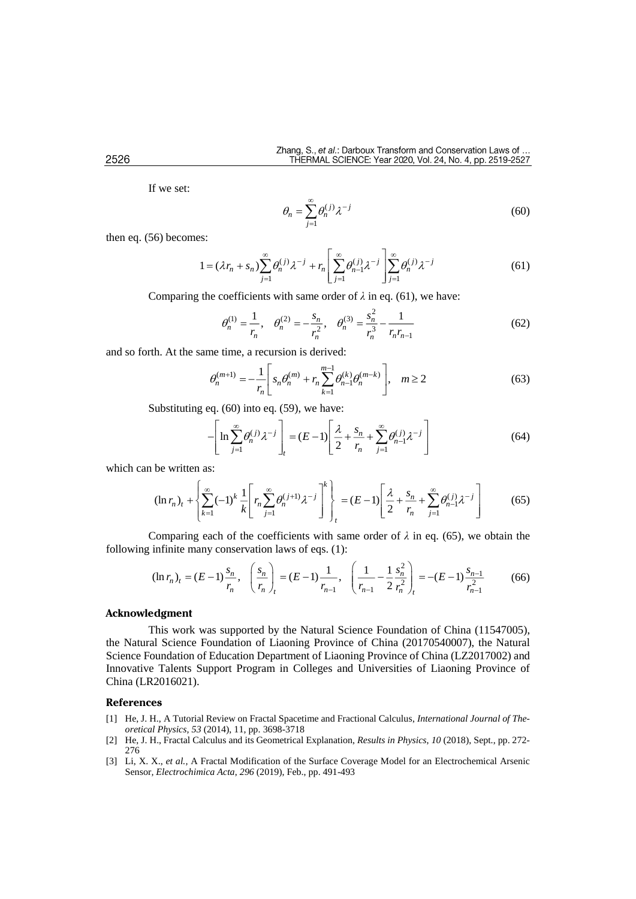If we set:

$$
\theta_n = \sum_{j=1}^{\infty} \theta_n^{(j)} \lambda^{-j} \tag{60}
$$

then eq. (56) becomes:

$$
1 = (\lambda r_n + s_n) \sum_{j=1}^{\infty} \theta_n^{(j)} \lambda^{-j} + r_n \left[ \sum_{j=1}^{\infty} \theta_{n-1}^{(j)} \lambda^{-j} \right] \sum_{j=1}^{\infty} \theta_n^{(j)} \lambda^{-j}
$$
(61)

Comparing the coefficients with same order of  $\lambda$  in eq. (61), we have:

$$
\theta_n^{(1)} = \frac{1}{r_n}, \quad \theta_n^{(2)} = -\frac{s_n}{r_n^2}, \quad \theta_n^{(3)} = \frac{s_n^2}{r_n^3} - \frac{1}{r_n r_{n-1}}
$$
(62)

and so forth. At the same time, a recursion is derived:

$$
\theta_n^{(m+1)} = -\frac{1}{r_n} \left[ s_n \theta_n^{(m)} + r_n \sum_{k=1}^{m-1} \theta_{n-1}^{(k)} \theta_n^{(m-k)} \right], \quad m \ge 2
$$
 (63)

Substituting eq. (60) into eq. (59), we have:

$$
-\left[\ln \sum_{j=1}^{\infty} \theta_n^{(j)} \lambda^{-j}\right]_t = (E-1)\left[\frac{\lambda}{2} + \frac{s_n}{r_n} + \sum_{j=1}^{\infty} \theta_{n-1}^{(j)} \lambda^{-j}\right]
$$
(64)

which can be written as:

( 1) ( ) 1 1 1 1 1 (ln ) ( 1) ( 1) 2 *k k j j j <sup>n</sup> <sup>j</sup> n t n n <sup>n</sup> k j j <sup>n</sup> t s r r E k r* (65)

Comparing each of the coefficients with same order of  $\lambda$  in eq. (65), we obtain the following infinite many conservation laws of eqs. (1):

$$
(\ln r_n)_t = (E-1)\frac{s_n}{r_n}, \quad \left(\frac{s_n}{r_n}\right)_t = (E-1)\frac{1}{r_{n-1}}, \quad \left(\frac{1}{r_{n-1}} - \frac{1}{2}\frac{s_n^2}{r_n^2}\right)_t = -(E-1)\frac{s_{n-1}}{r_{n-1}^2} \tag{66}
$$

#### **Acknowledgment**

This work was supported by the Natural Science Foundation of China (11547005), the Natural Science Foundation of Liaoning Province of China (20170540007), the Natural Science Foundation of Education Department of Liaoning Province of China (LZ2017002) and Innovative Talents Support Program in Colleges and Universities of Liaoning Province of China (LR2016021).

#### **References**

- [1] He, J. H., [A Tutorial Review on Fractal Spacetime and Fractional Calculus,](http://apps.webofknowledge.com/full_record.do?product=UA&search_mode=GeneralSearch&qid=1&SID=5Dza3Ogufbvrjq2Ld3i&page=1&doc=3) *International Journal of Theoretical Physics, 53* (2014), 11, pp. 3698-3718
- [2] He, J. H., Fractal Calculus and its Geometrical Explanation, *[Results in Physics](https://www.sciencedirect.com/science/journal/22113797)*, *[10](https://www.sciencedirect.com/science/journal/22113797/10/supp/C)* (2018), Sept., pp. 272- 276
- [3] Li, X. X., *et al.,* [A Fractal Modification of the Surface Coverage Model for an Electrochemical Arsenic](https://www.sciencedirect.com/science/article/pii/S0013468618325143)  [Sensor](https://www.sciencedirect.com/science/article/pii/S0013468618325143)*, [Electrochimica Acta](https://www.sciencedirect.com/science/journal/00134686)*, *296* (2019), Feb., pp. 491-493

2526